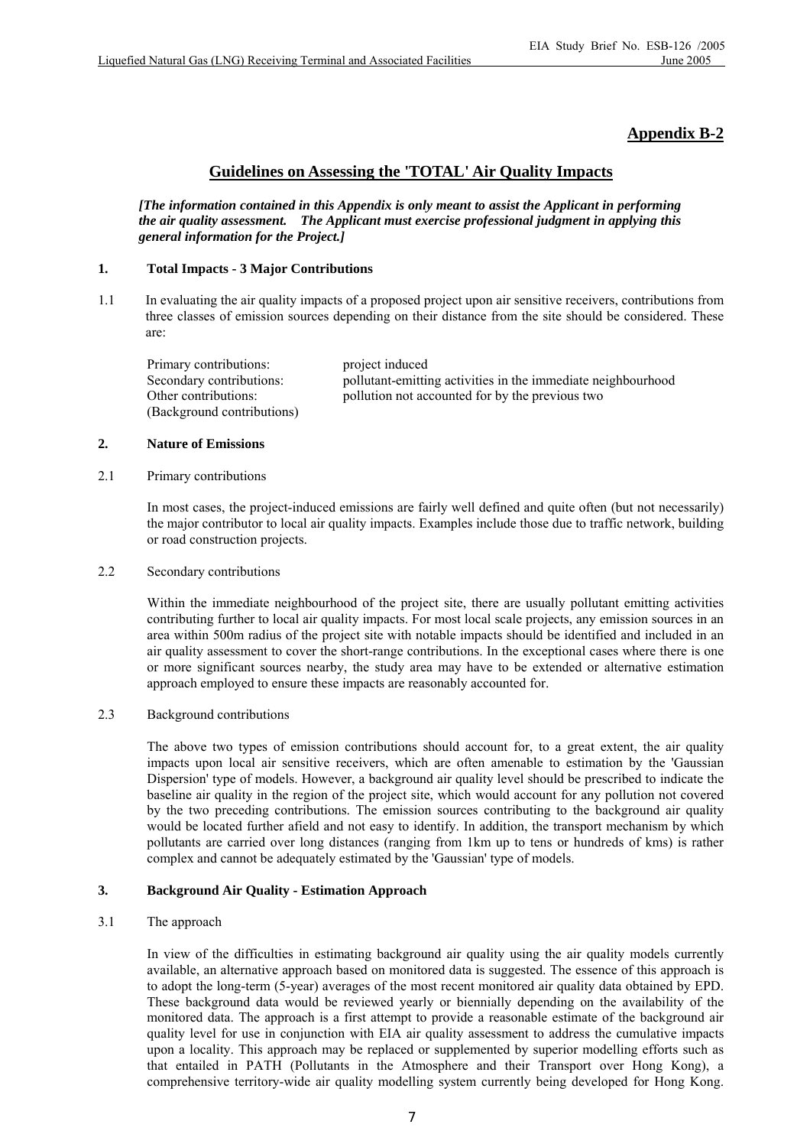# **Appendix B-2**

## **Guidelines on Assessing the 'TOTAL' Air Quality Impacts**

*[The information contained in this Appendix is only meant to assist the Applicant in performing the air quality assessment. The Applicant must exercise professional judgment in applying this general information for the Project.]* 

#### **1. Total Impacts - 3 Major Contributions**

1.1 In evaluating the air quality impacts of a proposed project upon air sensitive receivers, contributions from three classes of emission sources depending on their distance from the site should be considered. These are:

Primary contributions: project induced (Background contributions)

Secondary contributions: pollutant-emitting activities in the immediate neighbourhood Other contributions: pollution not accounted for by the previous two

#### **2. Nature of Emissions**

#### 2.1 Primary contributions

 In most cases, the project-induced emissions are fairly well defined and quite often (but not necessarily) the major contributor to local air quality impacts. Examples include those due to traffic network, building or road construction projects.

#### 2.2 Secondary contributions

 Within the immediate neighbourhood of the project site, there are usually pollutant emitting activities contributing further to local air quality impacts. For most local scale projects, any emission sources in an area within 500m radius of the project site with notable impacts should be identified and included in an air quality assessment to cover the short-range contributions. In the exceptional cases where there is one or more significant sources nearby, the study area may have to be extended or alternative estimation approach employed to ensure these impacts are reasonably accounted for.

#### 2.3 Background contributions

 The above two types of emission contributions should account for, to a great extent, the air quality impacts upon local air sensitive receivers, which are often amenable to estimation by the 'Gaussian Dispersion' type of models. However, a background air quality level should be prescribed to indicate the baseline air quality in the region of the project site, which would account for any pollution not covered by the two preceding contributions. The emission sources contributing to the background air quality would be located further afield and not easy to identify. In addition, the transport mechanism by which pollutants are carried over long distances (ranging from 1km up to tens or hundreds of kms) is rather complex and cannot be adequately estimated by the 'Gaussian' type of models.

## **3. Background Air Quality - Estimation Approach**

#### 3.1 The approach

 In view of the difficulties in estimating background air quality using the air quality models currently available, an alternative approach based on monitored data is suggested. The essence of this approach is to adopt the long-term (5-year) averages of the most recent monitored air quality data obtained by EPD. These background data would be reviewed yearly or biennially depending on the availability of the monitored data. The approach is a first attempt to provide a reasonable estimate of the background air quality level for use in conjunction with EIA air quality assessment to address the cumulative impacts upon a locality. This approach may be replaced or supplemented by superior modelling efforts such as that entailed in PATH (Pollutants in the Atmosphere and their Transport over Hong Kong), a comprehensive territory-wide air quality modelling system currently being developed for Hong Kong.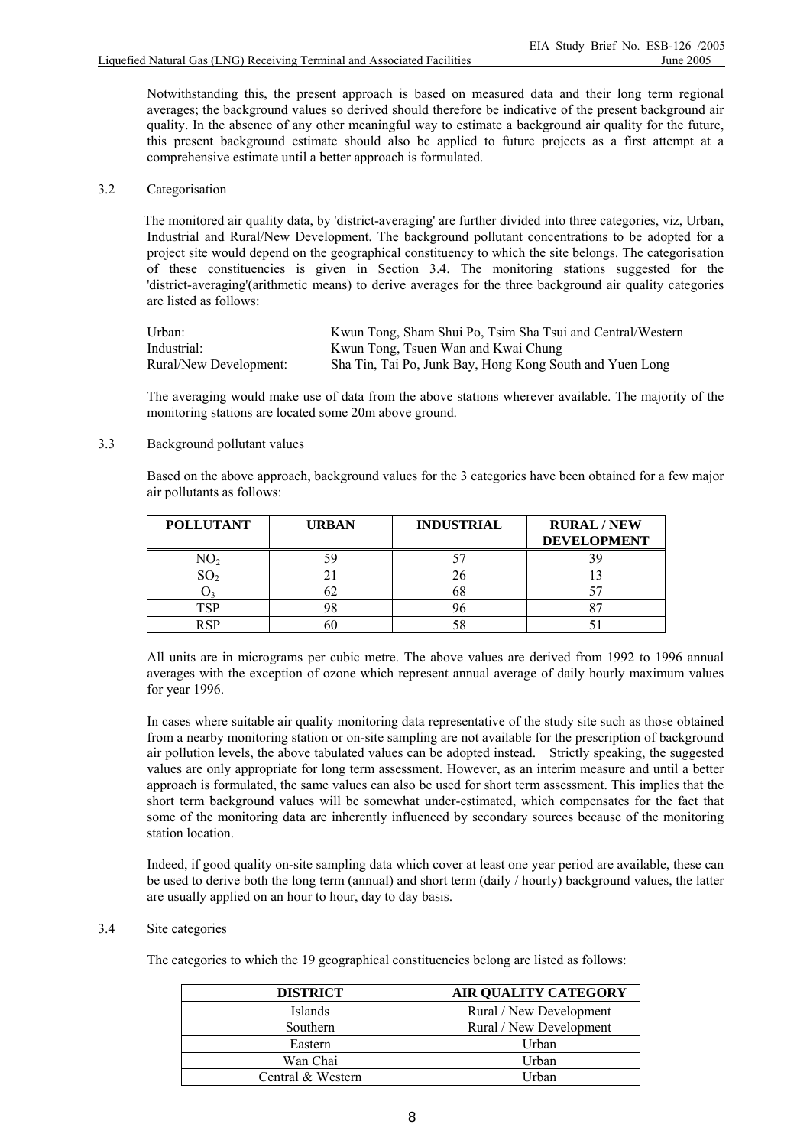Notwithstanding this, the present approach is based on measured data and their long term regional averages; the background values so derived should therefore be indicative of the present background air quality. In the absence of any other meaningful way to estimate a background air quality for the future, this present background estimate should also be applied to future projects as a first attempt at a comprehensive estimate until a better approach is formulated.

## 3.2 Categorisation

 The monitored air quality data, by 'district-averaging' are further divided into three categories, viz, Urban, Industrial and Rural/New Development. The background pollutant concentrations to be adopted for a project site would depend on the geographical constituency to which the site belongs. The categorisation of these constituencies is given in Section 3.4. The monitoring stations suggested for the 'district-averaging'(arithmetic means) to derive averages for the three background air quality categories are listed as follows:

| Urban:                 | Kwun Tong, Sham Shui Po, Tsim Sha Tsui and Central/Western |
|------------------------|------------------------------------------------------------|
| Industrial:            | Kwun Tong, Tsuen Wan and Kwai Chung                        |
| Rural/New Development: | Sha Tin, Tai Po, Junk Bay, Hong Kong South and Yuen Long   |

 The averaging would make use of data from the above stations wherever available. The majority of the monitoring stations are located some 20m above ground.

## 3.3 Background pollutant values

 Based on the above approach, background values for the 3 categories have been obtained for a few major air pollutants as follows:

| <b>POLLUTANT</b> | <b>URBAN</b> | <b>INDUSTRIAL</b> | <b>RURAL/NEW</b><br><b>DEVELOPMENT</b> |
|------------------|--------------|-------------------|----------------------------------------|
|                  |              |                   |                                        |
|                  |              |                   |                                        |
|                  |              |                   |                                        |
|                  |              |                   |                                        |
|                  |              |                   |                                        |

 All units are in micrograms per cubic metre. The above values are derived from 1992 to 1996 annual averages with the exception of ozone which represent annual average of daily hourly maximum values for year 1996.

 In cases where suitable air quality monitoring data representative of the study site such as those obtained from a nearby monitoring station or on-site sampling are not available for the prescription of background air pollution levels, the above tabulated values can be adopted instead. Strictly speaking, the suggested values are only appropriate for long term assessment. However, as an interim measure and until a better approach is formulated, the same values can also be used for short term assessment. This implies that the short term background values will be somewhat under-estimated, which compensates for the fact that some of the monitoring data are inherently influenced by secondary sources because of the monitoring station location.

 Indeed, if good quality on-site sampling data which cover at least one year period are available, these can be used to derive both the long term (annual) and short term (daily / hourly) background values, the latter are usually applied on an hour to hour, day to day basis.

## 3.4 Site categories

The categories to which the 19 geographical constituencies belong are listed as follows:

| <b>DISTRICT</b>   | <b>AIR QUALITY CATEGORY</b> |
|-------------------|-----------------------------|
| Islands           | Rural / New Development     |
| Southern          | Rural / New Development     |
| Eastern           | Urban                       |
| Wan Chai          | Urban                       |
| Central & Western | Urban                       |